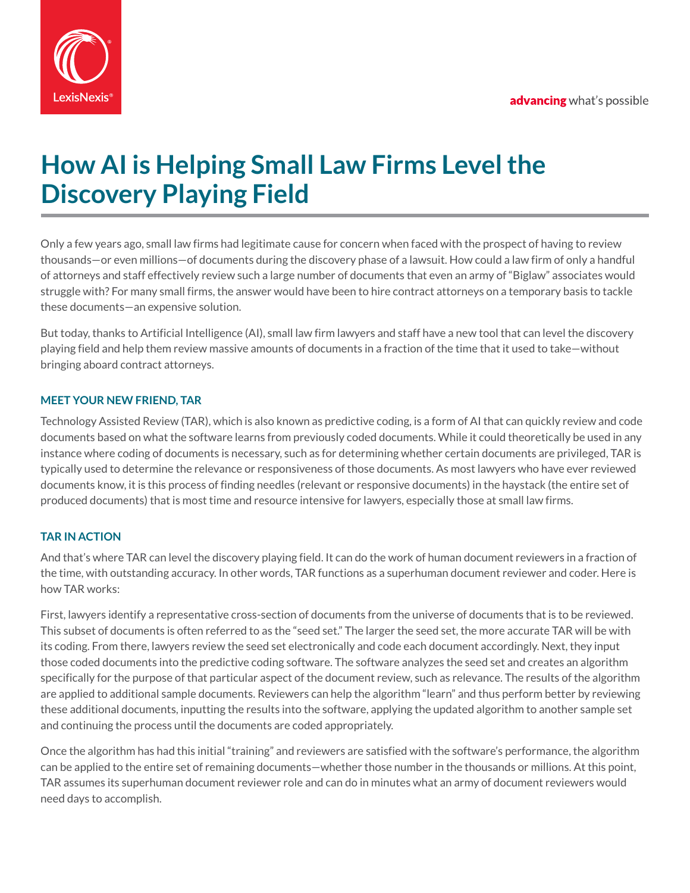

# **How AI is Helping Small Law Firms Level the Discovery Playing Field**

Only a few years ago, small law firms had legitimate cause for concern when faced with the prospect of having to review thousands—or even millions—of documents during the discovery phase of a lawsuit. How could a law firm of only a handful of attorneys and staff effectively review such a large number of documents that even an army of "Biglaw" associates would struggle with? For many small firms, the answer would have been to hire contract attorneys on a temporary basis to tackle these documents—an expensive solution.

But today, thanks to Artificial Intelligence (AI), small law firm lawyers and staff have a new tool that can level the discovery playing field and help them review massive amounts of documents in a fraction of the time that it used to take—without bringing aboard contract attorneys.

# **MEET YOUR NEW FRIEND, TAR**

Technology Assisted Review (TAR), which is also known as predictive coding, is a form of AI that can quickly review and code documents based on what the software learns from previously coded documents. While it could theoretically be used in any instance where coding of documents is necessary, such as for determining whether certain documents are privileged, TAR is typically used to determine the relevance or responsiveness of those documents. As most lawyers who have ever reviewed documents know, it is this process of finding needles (relevant or responsive documents) in the haystack (the entire set of produced documents) that is most time and resource intensive for lawyers, especially those at small law firms.

## **TAR IN ACTION**

And that's where TAR can level the discovery playing field. It can do the work of human document reviewers in a fraction of the time, with outstanding accuracy. In other words, TAR functions as a superhuman document reviewer and coder. Here is how TAR works:

First, lawyers identify a representative cross-section of documents from the universe of documents that is to be reviewed. This subset of documents is often referred to as the "seed set." The larger the seed set, the more accurate TAR will be with its coding. From there, lawyers review the seed set electronically and code each document accordingly. Next, they input those coded documents into the predictive coding software. The software analyzes the seed set and creates an algorithm specifically for the purpose of that particular aspect of the document review, such as relevance. The results of the algorithm are applied to additional sample documents. Reviewers can help the algorithm "learn" and thus perform better by reviewing these additional documents, inputting the results into the software, applying the updated algorithm to another sample set and continuing the process until the documents are coded appropriately.

Once the algorithm has had this initial "training" and reviewers are satisfied with the software's performance, the algorithm can be applied to the entire set of remaining documents—whether those number in the thousands or millions. At this point, TAR assumes its superhuman document reviewer role and can do in minutes what an army of document reviewers would need days to accomplish.